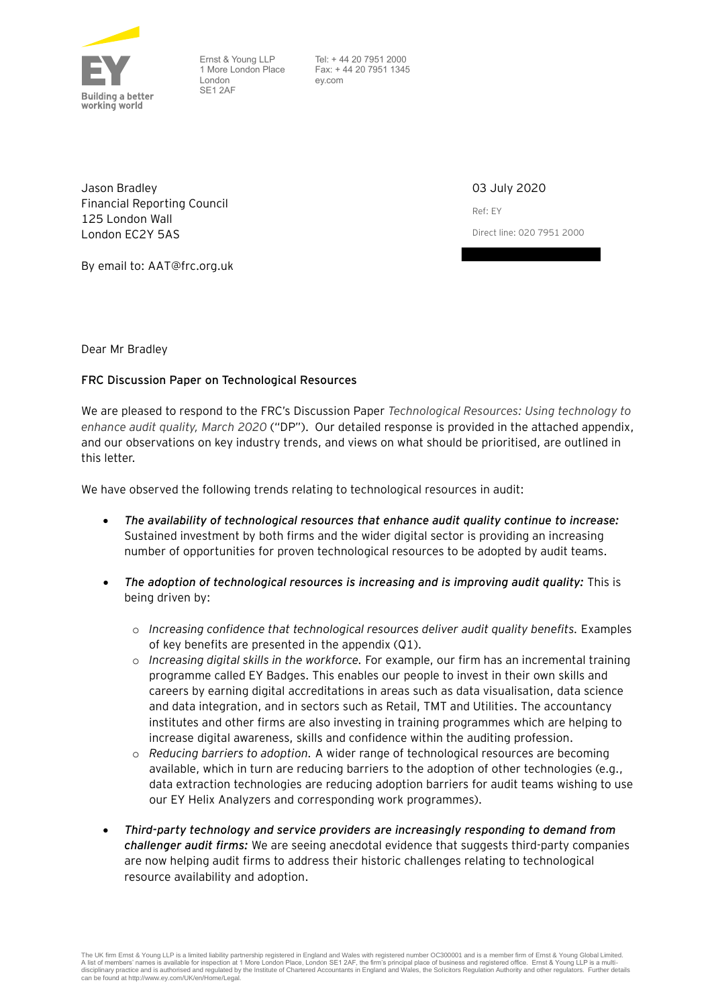

Ernst & Young LLP 1 More London Place London SE1 2AF

 Tel: + 44 20 7951 2000 Fax: + 44 20 7951 1345 ey.com

Jason Bradley Financial Reporting Council 125 London Wall London EC2Y 5AS

03 July 2020 Ref: EY Direct line: 020 7951 2000

By email to: AAT@frc.org.uk

Dear Mr Bradley

## **FRC Discussion Paper on Technological Resources**

We are pleased to respond to the FRC's Discussion Paper *Technological Resources: Using technology to enhance audit quality, March 2020* ("DP").Our detailed response is provided in the attached appendix, and our observations on key industry trends, and views on what should be prioritised, are outlined in this letter.

We have observed the following trends relating to technological resources in audit:

- *The availability of technological resources that enhance audit quality continue to increase:* Sustained investment by both firms and the wider digital sector is providing an increasing number of opportunities for proven technological resources to be adopted by audit teams.
- *The adoption of technological resources is increasing and is improving audit quality:* This is being driven by:
	- o *Increasing confidence that technological resources deliver audit quality benefits.* Examples of key benefits are presented in the appendix (Q1).
	- o *Increasing digital skills in the workforce.* For example, our firm has an incremental training programme called EY Badges. This enables our people to invest in their own skills and careers by earning digital accreditations in areas such as data visualisation, data science and data integration, and in sectors such as Retail, TMT and Utilities. The accountancy institutes and other firms are also investing in training programmes which are helping to increase digital awareness, skills and confidence within the auditing profession.
	- o *Reducing barriers to adoption.* A wider range of technological resources are becoming available, which in turn are reducing barriers to the adoption of other technologies (e.g., data extraction technologies are reducing adoption barriers for audit teams wishing to use our EY Helix Analyzers and corresponding work programmes).
- *Third-party technology and service providers are increasingly responding to demand from challenger audit firms:* We are seeing anecdotal evidence that suggests third-party companies are now helping audit firms to address their historic challenges relating to technological resource availability and adoption.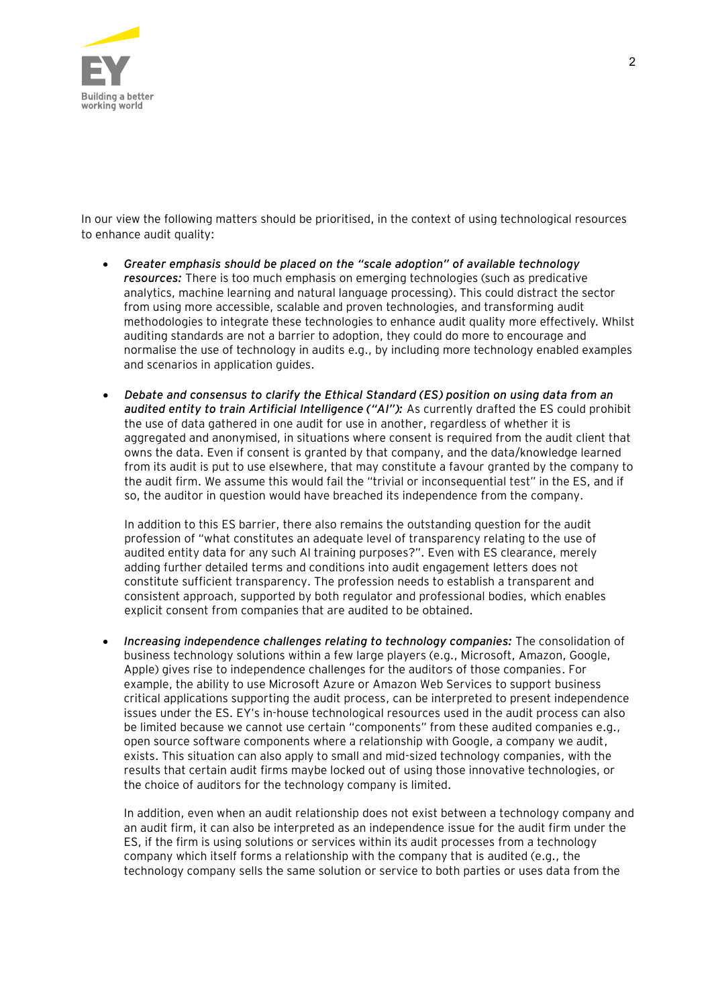

In our view the following matters should be prioritised, in the context of using technological resources to enhance audit quality:

- *Greater emphasis should be placed on the "scale adoption" of available technology resources:* There is too much emphasis on emerging technologies (such as predicative analytics, machine learning and natural language processing). This could distract the sector from using more accessible, scalable and proven technologies, and transforming audit methodologies to integrate these technologies to enhance audit quality more effectively. Whilst auditing standards are not a barrier to adoption, they could do more to encourage and normalise the use of technology in audits e.g., by including more technology enabled examples and scenarios in application guides.
- *Debate and consensus to clarify the Ethical Standard (ES) position on using data from an audited entity to train Artificial Intelligence ("AI"):* As currently drafted the ES could prohibit the use of data gathered in one audit for use in another, regardless of whether it is aggregated and anonymised, in situations where consent is required from the audit client that owns the data. Even if consent is granted by that company, and the data/knowledge learned from its audit is put to use elsewhere, that may constitute a favour granted by the company to the audit firm. We assume this would fail the "trivial or inconsequential test" in the ES, and if so, the auditor in question would have breached its independence from the company.

In addition to this ES barrier, there also remains the outstanding question for the audit profession of "what constitutes an adequate level of transparency relating to the use of audited entity data for any such AI training purposes?". Even with ES clearance, merely adding further detailed terms and conditions into audit engagement letters does not constitute sufficient transparency. The profession needs to establish a transparent and consistent approach, supported by both regulator and professional bodies, which enables explicit consent from companies that are audited to be obtained.

• *Increasing independence challenges relating to technology companies:* The consolidation of business technology solutions within a few large players (e.g., Microsoft, Amazon, Google, Apple) gives rise to independence challenges for the auditors of those companies. For example, the ability to use Microsoft Azure or Amazon Web Services to support business critical applications supporting the audit process, can be interpreted to present independence issues under the ES. EY's in-house technological resources used in the audit process can also be limited because we cannot use certain "components" from these audited companies e.g., open source software components where a relationship with Google, a company we audit, exists. This situation can also apply to small and mid-sized technology companies, with the results that certain audit firms maybe locked out of using those innovative technologies, or the choice of auditors for the technology company is limited.

In addition, even when an audit relationship does not exist between a technology company and an audit firm, it can also be interpreted as an independence issue for the audit firm under the ES, if the firm is using solutions or services within its audit processes from a technology company which itself forms a relationship with the company that is audited (e.g., the technology company sells the same solution or service to both parties or uses data from the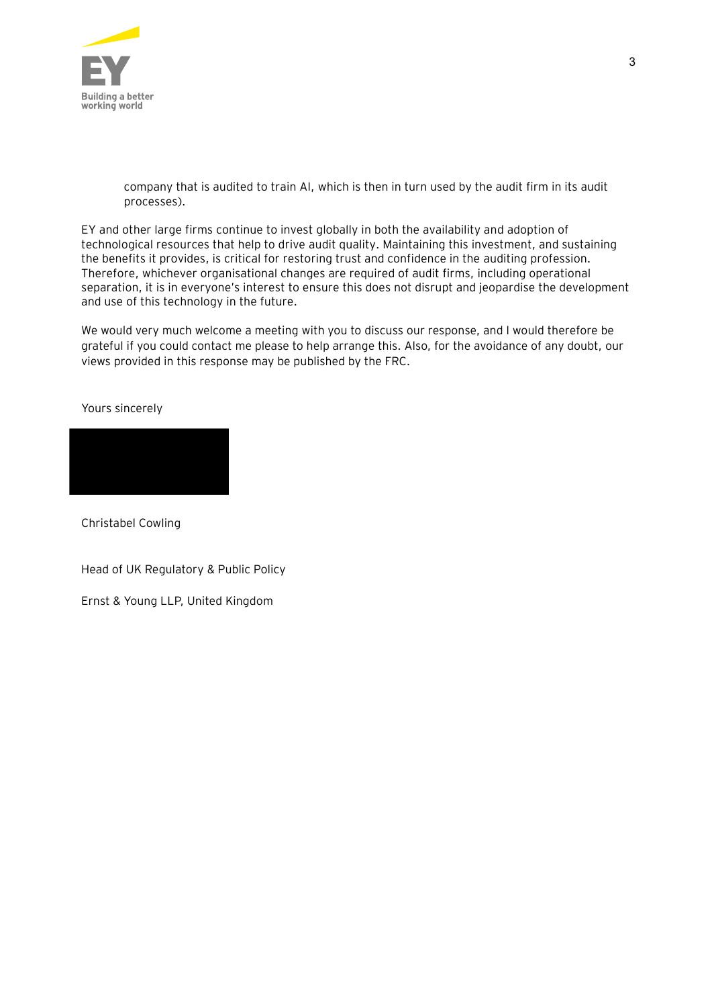

company that is audited to train AI, which is then in turn used by the audit firm in its audit processes).

EY and other large firms continue to invest globally in both the availability and adoption of technological resources that help to drive audit quality. Maintaining this investment, and sustaining the benefits it provides, is critical for restoring trust and confidence in the auditing profession. Therefore, whichever organisational changes are required of audit firms, including operational separation, it is in everyone's interest to ensure this does not disrupt and jeopardise the development and use of this technology in the future.

We would very much welcome a meeting with you to discuss our response, and I would therefore be grateful if you could contact me please to help arrange this. Also, for the avoidance of any doubt, our views provided in this response may be published by the FRC.

Yours sincerely



Christabel Cowling

Head of UK Regulatory & Public Policy

Ernst & Young LLP, United Kingdom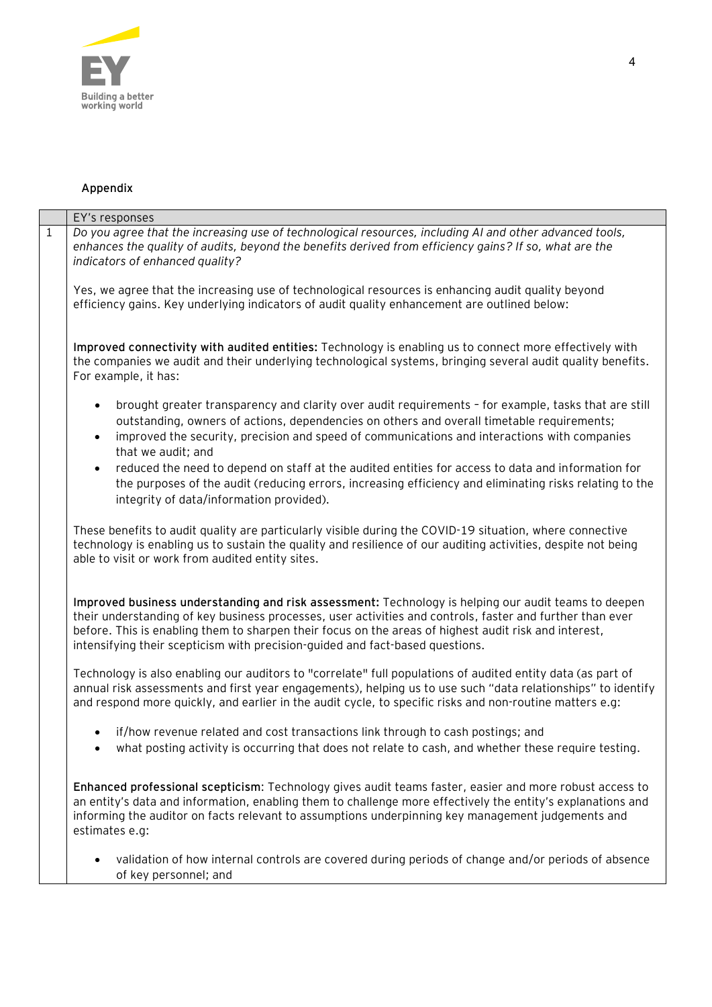

## **Appendix**

|              | EY's responses                                                                                                                                                                                                                                                                                                                                                                                              |
|--------------|-------------------------------------------------------------------------------------------------------------------------------------------------------------------------------------------------------------------------------------------------------------------------------------------------------------------------------------------------------------------------------------------------------------|
| $\mathbf{1}$ | Do you agree that the increasing use of technological resources, including AI and other advanced tools,<br>enhances the quality of audits, beyond the benefits derived from efficiency gains? If so, what are the<br>indicators of enhanced quality?                                                                                                                                                        |
|              | Yes, we agree that the increasing use of technological resources is enhancing audit quality beyond<br>efficiency gains. Key underlying indicators of audit quality enhancement are outlined below:                                                                                                                                                                                                          |
|              | Improved connectivity with audited entities: Technology is enabling us to connect more effectively with<br>the companies we audit and their underlying technological systems, bringing several audit quality benefits.<br>For example, it has:                                                                                                                                                              |
|              | brought greater transparency and clarity over audit requirements - for example, tasks that are still<br>$\bullet$<br>outstanding, owners of actions, dependencies on others and overall timetable requirements;<br>improved the security, precision and speed of communications and interactions with companies<br>$\bullet$<br>that we audit; and                                                          |
|              | reduced the need to depend on staff at the audited entities for access to data and information for<br>$\bullet$<br>the purposes of the audit (reducing errors, increasing efficiency and eliminating risks relating to the<br>integrity of data/information provided).                                                                                                                                      |
|              | These benefits to audit quality are particularly visible during the COVID-19 situation, where connective<br>technology is enabling us to sustain the quality and resilience of our auditing activities, despite not being<br>able to visit or work from audited entity sites.                                                                                                                               |
|              | Improved business understanding and risk assessment: Technology is helping our audit teams to deepen<br>their understanding of key business processes, user activities and controls, faster and further than ever<br>before. This is enabling them to sharpen their focus on the areas of highest audit risk and interest,<br>intensifying their scepticism with precision-guided and fact-based questions. |
|              | Technology is also enabling our auditors to "correlate" full populations of audited entity data (as part of<br>annual risk assessments and first year engagements), helping us to use such "data relationships" to identify<br>and respond more quickly, and earlier in the audit cycle, to specific risks and non-routine matters e.g:                                                                     |
|              | if/how revenue related and cost transactions link through to cash postings; and<br>what posting activity is occurring that does not relate to cash, and whether these require testing.                                                                                                                                                                                                                      |
|              | Enhanced professional scepticism: Technology gives audit teams faster, easier and more robust access to<br>an entity's data and information, enabling them to challenge more effectively the entity's explanations and<br>informing the auditor on facts relevant to assumptions underpinning key management judgements and<br>estimates e.g:                                                               |
|              | validation of how internal controls are covered during periods of change and/or periods of absence<br>of key personnel; and                                                                                                                                                                                                                                                                                 |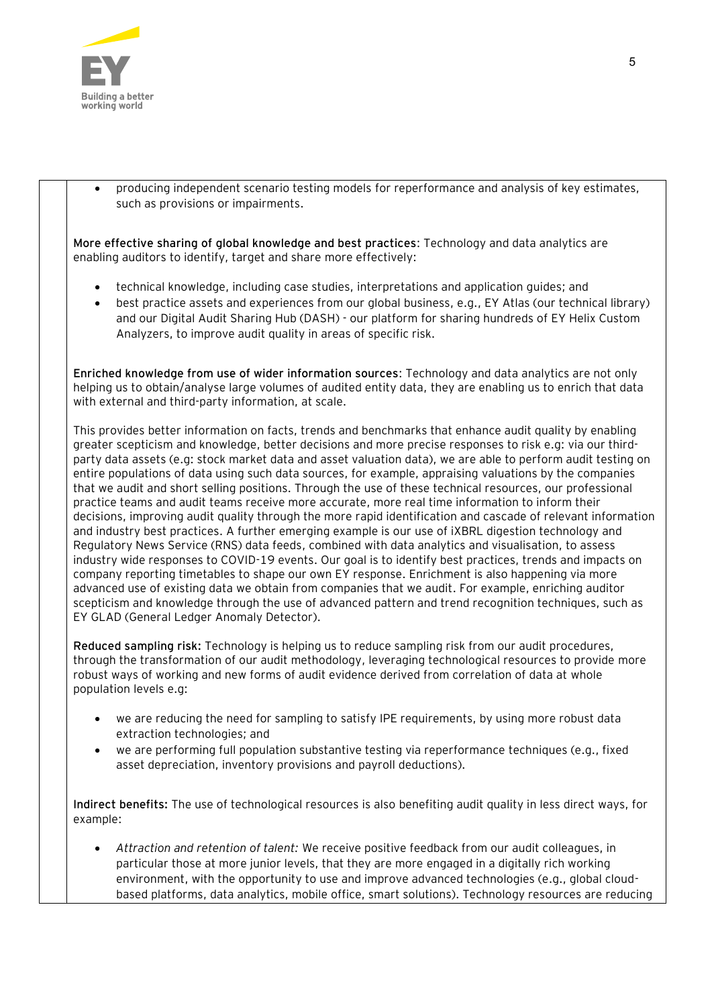

• producing independent scenario testing models for reperformance and analysis of key estimates, such as provisions or impairments.

**More effective sharing of global knowledge and best practices**: Technology and data analytics are enabling auditors to identify, target and share more effectively:

- technical knowledge, including case studies, interpretations and application guides; and
- best practice assets and experiences from our global business, e.g., EY Atlas (our technical library) and our Digital Audit Sharing Hub (DASH) - our platform for sharing hundreds of EY Helix Custom Analyzers, to improve audit quality in areas of specific risk.

**Enriched knowledge from use of wider information sources**: Technology and data analytics are not only helping us to obtain/analyse large volumes of audited entity data, they are enabling us to enrich that data with external and third-party information, at scale.

This provides better information on facts, trends and benchmarks that enhance audit quality by enabling greater scepticism and knowledge, better decisions and more precise responses to risk e.g: via our thirdparty data assets (e.g: stock market data and asset valuation data), we are able to perform audit testing on entire populations of data using such data sources, for example, appraising valuations by the companies that we audit and short selling positions. Through the use of these technical resources, our professional practice teams and audit teams receive more accurate, more real time information to inform their decisions, improving audit quality through the more rapid identification and cascade of relevant information and industry best practices. A further emerging example is our use of iXBRL digestion technology and Regulatory News Service (RNS) data feeds, combined with data analytics and visualisation, to assess industry wide responses to COVID-19 events. Our goal is to identify best practices, trends and impacts on company reporting timetables to shape our own EY response. Enrichment is also happening via more advanced use of existing data we obtain from companies that we audit. For example, enriching auditor scepticism and knowledge through the use of advanced pattern and trend recognition techniques, such as EY GLAD (General Ledger Anomaly Detector).

**Reduced sampling risk:** Technology is helping us to reduce sampling risk from our audit procedures, through the transformation of our audit methodology, leveraging technological resources to provide more robust ways of working and new forms of audit evidence derived from correlation of data at whole population levels e.g:

- we are reducing the need for sampling to satisfy IPE requirements, by using more robust data extraction technologies; and
- we are performing full population substantive testing via reperformance techniques (e.g., fixed asset depreciation, inventory provisions and payroll deductions).

**Indirect benefits:** The use of technological resources is also benefiting audit quality in less direct ways, for example:

• *Attraction and retention of talent:* We receive positive feedback from our audit colleagues, in particular those at more junior levels, that they are more engaged in a digitally rich working environment, with the opportunity to use and improve advanced technologies (e.g., global cloudbased platforms, data analytics, mobile office, smart solutions). Technology resources are reducing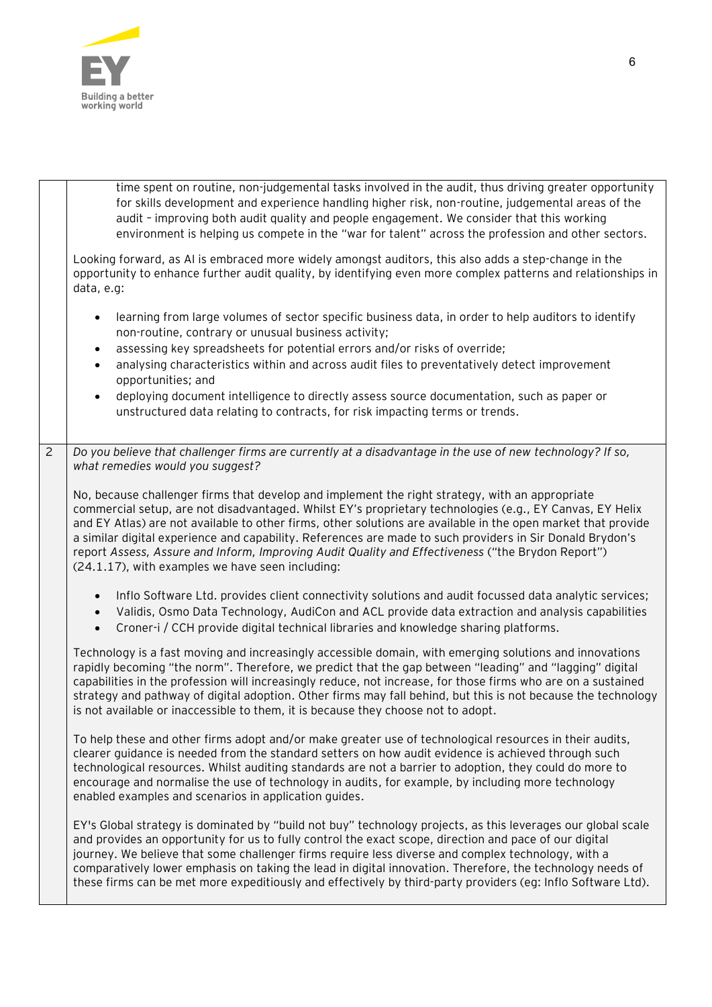

|                | time spent on routine, non-judgemental tasks involved in the audit, thus driving greater opportunity<br>for skills development and experience handling higher risk, non-routine, judgemental areas of the<br>audit - improving both audit quality and people engagement. We consider that this working<br>environment is helping us compete in the "war for talent" across the profession and other sectors.                                                                                                                                                                                       |
|----------------|----------------------------------------------------------------------------------------------------------------------------------------------------------------------------------------------------------------------------------------------------------------------------------------------------------------------------------------------------------------------------------------------------------------------------------------------------------------------------------------------------------------------------------------------------------------------------------------------------|
|                | Looking forward, as AI is embraced more widely amongst auditors, this also adds a step-change in the<br>opportunity to enhance further audit quality, by identifying even more complex patterns and relationships in<br>data, e.g:                                                                                                                                                                                                                                                                                                                                                                 |
|                | learning from large volumes of sector specific business data, in order to help auditors to identify<br>$\bullet$<br>non-routine, contrary or unusual business activity;<br>assessing key spreadsheets for potential errors and/or risks of override;                                                                                                                                                                                                                                                                                                                                               |
|                | analysing characteristics within and across audit files to preventatively detect improvement<br>opportunities; and                                                                                                                                                                                                                                                                                                                                                                                                                                                                                 |
|                | deploying document intelligence to directly assess source documentation, such as paper or<br>$\bullet$<br>unstructured data relating to contracts, for risk impacting terms or trends.                                                                                                                                                                                                                                                                                                                                                                                                             |
| $\overline{c}$ | Do you believe that challenger firms are currently at a disadvantage in the use of new technology? If so,<br>what remedies would you suggest?                                                                                                                                                                                                                                                                                                                                                                                                                                                      |
|                | No, because challenger firms that develop and implement the right strategy, with an appropriate<br>commercial setup, are not disadvantaged. Whilst EY's proprietary technologies (e.g., EY Canvas, EY Helix<br>and EY Atlas) are not available to other firms, other solutions are available in the open market that provide<br>a similar digital experience and capability. References are made to such providers in Sir Donald Brydon's<br>report Assess, Assure and Inform, Improving Audit Quality and Effectiveness ("the Brydon Report")<br>(24.1.17), with examples we have seen including: |
|                | Inflo Software Ltd. provides client connectivity solutions and audit focussed data analytic services;<br>Validis, Osmo Data Technology, AudiCon and ACL provide data extraction and analysis capabilities<br>Croner-i / CCH provide digital technical libraries and knowledge sharing platforms.<br>$\bullet$                                                                                                                                                                                                                                                                                      |
|                | Technology is a fast moving and increasingly accessible domain, with emerging solutions and innovations<br>rapidly becoming "the norm". Therefore, we predict that the gap between "leading" and "lagging" digital<br>capabilities in the profession will increasingly reduce, not increase, for those firms who are on a sustained<br>strategy and pathway of digital adoption. Other firms may fall behind, but this is not because the technology<br>is not available or inaccessible to them, it is because they choose not to adopt.                                                          |
|                | To help these and other firms adopt and/or make greater use of technological resources in their audits,<br>clearer guidance is needed from the standard setters on how audit evidence is achieved through such<br>technological resources. Whilst auditing standards are not a barrier to adoption, they could do more to<br>encourage and normalise the use of technology in audits, for example, by including more technology<br>enabled examples and scenarios in application guides.                                                                                                           |
|                | EY's Global strategy is dominated by "build not buy" technology projects, as this leverages our global scale<br>and provides an opportunity for us to fully control the exact scope, direction and pace of our digital<br>journey. We believe that some challenger firms require less diverse and complex technology, with a<br>comparatively lower emphasis on taking the lead in digital innovation. Therefore, the technology needs of<br>these firms can be met more expeditiously and effectively by third-party providers (eg: Inflo Software Ltd).                                          |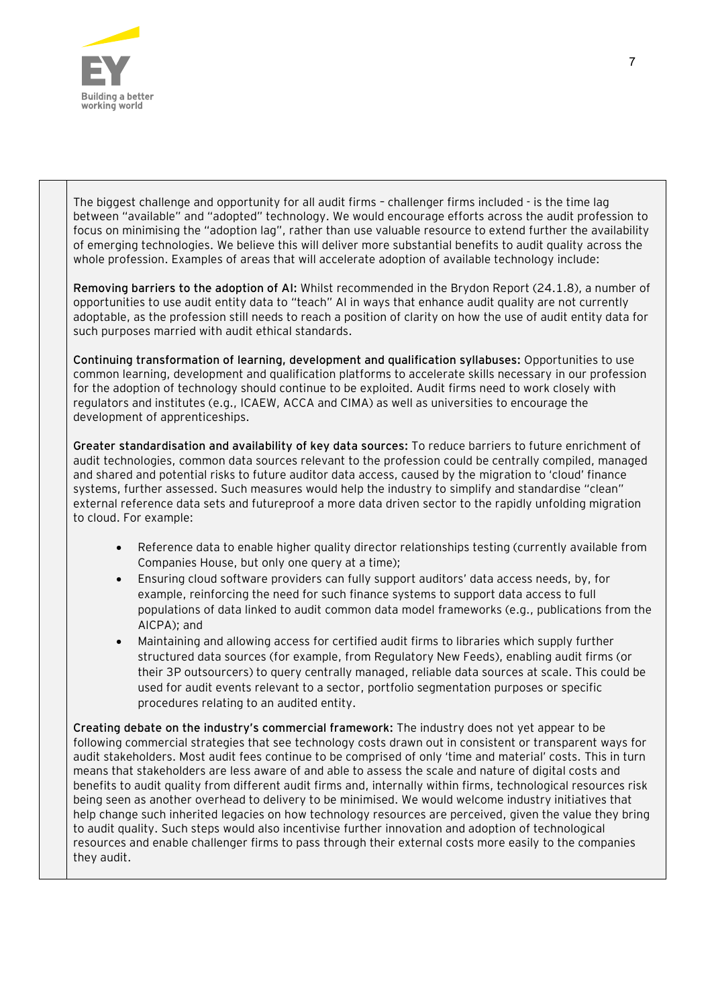

The biggest challenge and opportunity for all audit firms – challenger firms included - is the time lag between "available" and "adopted" technology. We would encourage efforts across the audit profession to focus on minimising the "adoption lag", rather than use valuable resource to extend further the availability of emerging technologies. We believe this will deliver more substantial benefits to audit quality across the whole profession. Examples of areas that will accelerate adoption of available technology include:

**Removing barriers to the adoption of AI:** Whilst recommended in the Brydon Report (24.1.8), a number of opportunities to use audit entity data to "teach" AI in ways that enhance audit quality are not currently adoptable, as the profession still needs to reach a position of clarity on how the use of audit entity data for such purposes married with audit ethical standards.

**Continuing transformation of learning, development and qualification syllabuses:** Opportunities to use common learning, development and qualification platforms to accelerate skills necessary in our profession for the adoption of technology should continue to be exploited. Audit firms need to work closely with regulators and institutes (e.g., ICAEW, ACCA and CIMA) as well as universities to encourage the development of apprenticeships.

**Greater standardisation and availability of key data sources:** To reduce barriers to future enrichment of audit technologies, common data sources relevant to the profession could be centrally compiled, managed and shared and potential risks to future auditor data access, caused by the migration to 'cloud' finance systems, further assessed. Such measures would help the industry to simplify and standardise "clean" external reference data sets and futureproof a more data driven sector to the rapidly unfolding migration to cloud. For example:

- Reference data to enable higher quality director relationships testing (currently available from Companies House, but only one query at a time);
- Ensuring cloud software providers can fully support auditors' data access needs, by, for example, reinforcing the need for such finance systems to support data access to full populations of data linked to audit common data model frameworks (e.g., publications from the AICPA); and
- Maintaining and allowing access for certified audit firms to libraries which supply further structured data sources (for example, from Regulatory New Feeds), enabling audit firms (or their 3P outsourcers) to query centrally managed, reliable data sources at scale. This could be used for audit events relevant to a sector, portfolio segmentation purposes or specific procedures relating to an audited entity.

**Creating debate on the industry's commercial framework:** The industry does not yet appear to be following commercial strategies that see technology costs drawn out in consistent or transparent ways for audit stakeholders. Most audit fees continue to be comprised of only 'time and material' costs. This in turn means that stakeholders are less aware of and able to assess the scale and nature of digital costs and benefits to audit quality from different audit firms and, internally within firms, technological resources risk being seen as another overhead to delivery to be minimised. We would welcome industry initiatives that help change such inherited legacies on how technology resources are perceived, given the value they bring to audit quality. Such steps would also incentivise further innovation and adoption of technological resources and enable challenger firms to pass through their external costs more easily to the companies they audit.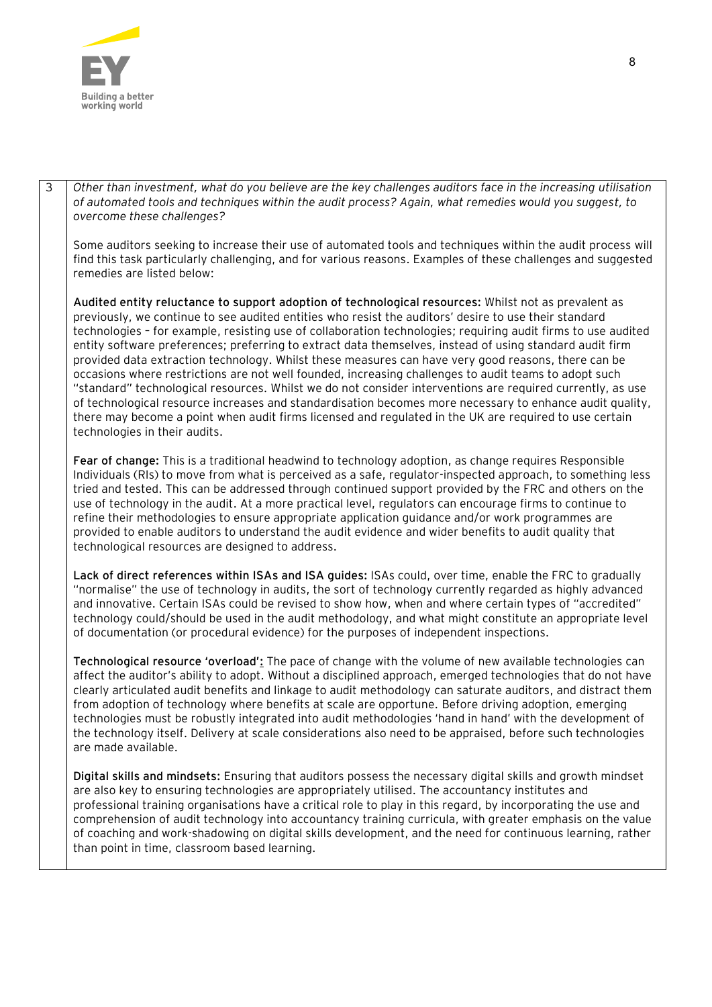

3 *Other than investment, what do you believe are the key challenges auditors face in the increasing utilisation of automated tools and techniques within the audit process? Again, what remedies would you suggest, to overcome these challenges?*

Some auditors seeking to increase their use of automated tools and techniques within the audit process will find this task particularly challenging, and for various reasons. Examples of these challenges and suggested remedies are listed below:

**Audited entity reluctance to support adoption of technological resources:** Whilst not as prevalent as previously, we continue to see audited entities who resist the auditors' desire to use their standard technologies – for example, resisting use of collaboration technologies; requiring audit firms to use audited entity software preferences; preferring to extract data themselves, instead of using standard audit firm provided data extraction technology. Whilst these measures can have very good reasons, there can be occasions where restrictions are not well founded, increasing challenges to audit teams to adopt such "standard" technological resources. Whilst we do not consider interventions are required currently, as use of technological resource increases and standardisation becomes more necessary to enhance audit quality, there may become a point when audit firms licensed and regulated in the UK are required to use certain technologies in their audits.

**Fear of change:** This is a traditional headwind to technology adoption, as change requires Responsible Individuals (RIs) to move from what is perceived as a safe, regulator-inspected approach, to something less tried and tested. This can be addressed through continued support provided by the FRC and others on the use of technology in the audit. At a more practical level, regulators can encourage firms to continue to refine their methodologies to ensure appropriate application guidance and/or work programmes are provided to enable auditors to understand the audit evidence and wider benefits to audit quality that technological resources are designed to address.

**Lack of direct references within ISAs and ISA guides:** ISAs could, over time, enable the FRC to gradually "normalise" the use of technology in audits, the sort of technology currently regarded as highly advanced and innovative. Certain ISAs could be revised to show how, when and where certain types of "accredited" technology could/should be used in the audit methodology, and what might constitute an appropriate level of documentation (or procedural evidence) for the purposes of independent inspections.

**Technological resource 'overload':** The pace of change with the volume of new available technologies can affect the auditor's ability to adopt. Without a disciplined approach, emerged technologies that do not have clearly articulated audit benefits and linkage to audit methodology can saturate auditors, and distract them from adoption of technology where benefits at scale are opportune. Before driving adoption, emerging technologies must be robustly integrated into audit methodologies 'hand in hand' with the development of the technology itself. Delivery at scale considerations also need to be appraised, before such technologies are made available.

**Digital skills and mindsets:** Ensuring that auditors possess the necessary digital skills and growth mindset are also key to ensuring technologies are appropriately utilised. The accountancy institutes and professional training organisations have a critical role to play in this regard, by incorporating the use and comprehension of audit technology into accountancy training curricula, with greater emphasis on the value of coaching and work-shadowing on digital skills development, and the need for continuous learning, rather than point in time, classroom based learning.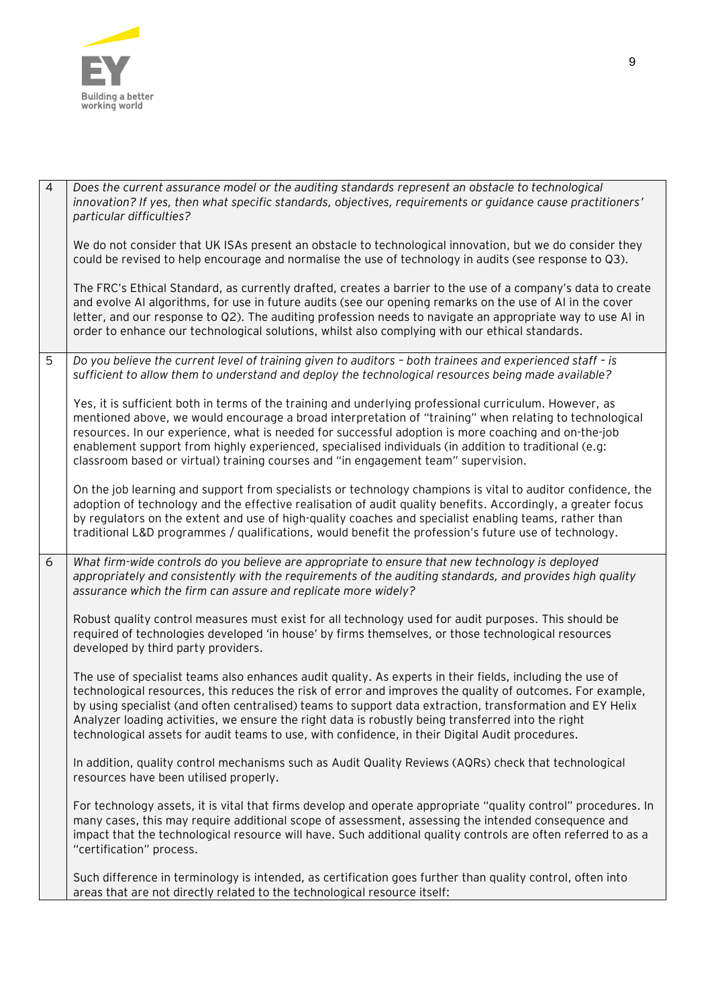

| $\overline{4}$ | Does the current assurance model or the auditing standards represent an obstacle to technological<br>innovation? If yes, then what specific standards, objectives, requirements or quidance cause practitioners'<br>particular difficulties?                                                                                                                                                                                                                                                                                                   |
|----------------|------------------------------------------------------------------------------------------------------------------------------------------------------------------------------------------------------------------------------------------------------------------------------------------------------------------------------------------------------------------------------------------------------------------------------------------------------------------------------------------------------------------------------------------------|
|                | We do not consider that UK ISAs present an obstacle to technological innovation, but we do consider they<br>could be revised to help encourage and normalise the use of technology in audits (see response to Q3).                                                                                                                                                                                                                                                                                                                             |
|                | The FRC's Ethical Standard, as currently drafted, creates a barrier to the use of a company's data to create<br>and evolve AI algorithms, for use in future audits (see our opening remarks on the use of AI in the cover<br>letter, and our response to Q2). The auditing profession needs to navigate an appropriate way to use AI in<br>order to enhance our technological solutions, whilst also complying with our ethical standards.                                                                                                     |
| 5              | Do you believe the current level of training given to auditors - both trainees and experienced staff - is<br>sufficient to allow them to understand and deploy the technological resources being made available?                                                                                                                                                                                                                                                                                                                               |
|                | Yes, it is sufficient both in terms of the training and underlying professional curriculum. However, as<br>mentioned above, we would encourage a broad interpretation of "training" when relating to technological<br>resources. In our experience, what is needed for successful adoption is more coaching and on-the-job<br>enablement support from highly experienced, specialised individuals (in addition to traditional (e.g:<br>classroom based or virtual) training courses and "in engagement team" supervision.                      |
|                | On the job learning and support from specialists or technology champions is vital to auditor confidence, the<br>adoption of technology and the effective realisation of audit quality benefits. Accordingly, a greater focus<br>by regulators on the extent and use of high-quality coaches and specialist enabling teams, rather than<br>traditional L&D programmes / qualifications, would benefit the profession's future use of technology.                                                                                                |
| 6              | What firm-wide controls do you believe are appropriate to ensure that new technology is deployed<br>appropriately and consistently with the requirements of the auditing standards, and provides high quality<br>assurance which the firm can assure and replicate more widely?                                                                                                                                                                                                                                                                |
|                | Robust quality control measures must exist for all technology used for audit purposes. This should be<br>required of technologies developed 'in house' by firms themselves, or those technological resources<br>developed by third party providers.                                                                                                                                                                                                                                                                                            |
|                | The use of specialist teams also enhances audit quality. As experts in their fields, including the use of<br>technological resources, this reduces the risk of error and improves the quality of outcomes. For example,<br>by using specialist (and often centralised) teams to support data extraction, transformation and EY Helix<br>Analyzer loading activities, we ensure the right data is robustly being transferred into the right<br>technological assets for audit teams to use, with confidence, in their Digital Audit procedures. |
|                | In addition, quality control mechanisms such as Audit Quality Reviews (AQRs) check that technological<br>resources have been utilised properly.                                                                                                                                                                                                                                                                                                                                                                                                |
|                | For technology assets, it is vital that firms develop and operate appropriate "quality control" procedures. In<br>many cases, this may require additional scope of assessment, assessing the intended consequence and<br>impact that the technological resource will have. Such additional quality controls are often referred to as a<br>"certification" process.                                                                                                                                                                             |
|                | Such difference in terminology is intended, as certification goes further than quality control, often into<br>areas that are not directly related to the technological resource itself:                                                                                                                                                                                                                                                                                                                                                        |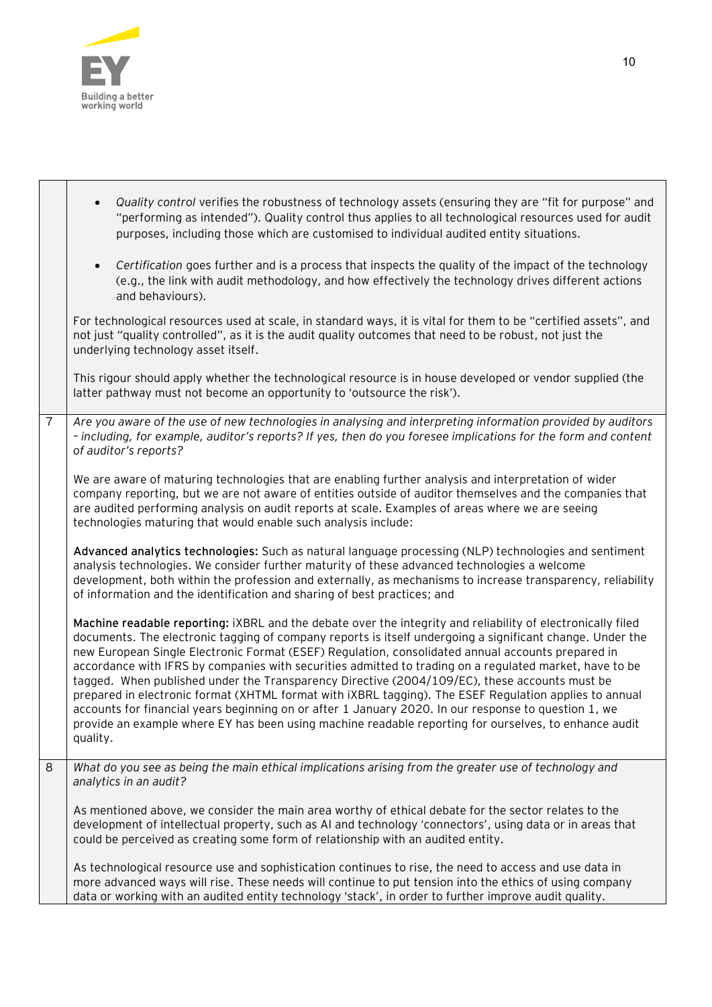

|                | Quality control verifies the robustness of technology assets (ensuring they are "fit for purpose" and<br>"performing as intended"). Quality control thus applies to all technological resources used for audit<br>purposes, including those which are customised to individual audited entity situations.                                                                                                                                                                                                                                                                                                                                                                                                                                                                                                                                                                        |
|----------------|----------------------------------------------------------------------------------------------------------------------------------------------------------------------------------------------------------------------------------------------------------------------------------------------------------------------------------------------------------------------------------------------------------------------------------------------------------------------------------------------------------------------------------------------------------------------------------------------------------------------------------------------------------------------------------------------------------------------------------------------------------------------------------------------------------------------------------------------------------------------------------|
|                | Certification goes further and is a process that inspects the quality of the impact of the technology<br>$\bullet$<br>(e.g., the link with audit methodology, and how effectively the technology drives different actions<br>and behaviours).                                                                                                                                                                                                                                                                                                                                                                                                                                                                                                                                                                                                                                    |
|                | For technological resources used at scale, in standard ways, it is vital for them to be "certified assets", and<br>not just "quality controlled", as it is the audit quality outcomes that need to be robust, not just the<br>underlying technology asset itself.                                                                                                                                                                                                                                                                                                                                                                                                                                                                                                                                                                                                                |
|                | This rigour should apply whether the technological resource is in house developed or vendor supplied (the<br>latter pathway must not become an opportunity to 'outsource the risk').                                                                                                                                                                                                                                                                                                                                                                                                                                                                                                                                                                                                                                                                                             |
| $\overline{7}$ | Are you aware of the use of new technologies in analysing and interpreting information provided by auditors<br>- including, for example, auditor's reports? If yes, then do you foresee implications for the form and content<br>of auditor's reports?                                                                                                                                                                                                                                                                                                                                                                                                                                                                                                                                                                                                                           |
|                | We are aware of maturing technologies that are enabling further analysis and interpretation of wider<br>company reporting, but we are not aware of entities outside of auditor themselves and the companies that<br>are audited performing analysis on audit reports at scale. Examples of areas where we are seeing<br>technologies maturing that would enable such analysis include:                                                                                                                                                                                                                                                                                                                                                                                                                                                                                           |
|                | Advanced analytics technologies: Such as natural language processing (NLP) technologies and sentiment<br>analysis technologies. We consider further maturity of these advanced technologies a welcome<br>development, both within the profession and externally, as mechanisms to increase transparency, reliability<br>of information and the identification and sharing of best practices; and                                                                                                                                                                                                                                                                                                                                                                                                                                                                                 |
|                | Machine readable reporting: iXBRL and the debate over the integrity and reliability of electronically filed<br>documents. The electronic tagging of company reports is itself undergoing a significant change. Under the<br>new European Single Electronic Format (ESEF) Regulation, consolidated annual accounts prepared in<br>accordance with IFRS by companies with securities admitted to trading on a regulated market, have to be<br>tagged. When published under the Transparency Directive (2004/109/EC), these accounts must be<br>prepared in electronic format (XHTML format with iXBRL tagging). The ESEF Regulation applies to annual<br>accounts for financial years beginning on or after 1 January 2020. In our response to question 1, we<br>provide an example where EY has been using machine readable reporting for ourselves, to enhance audit<br>quality. |
| 8              | What do you see as being the main ethical implications arising from the greater use of technology and<br>analytics in an audit?                                                                                                                                                                                                                                                                                                                                                                                                                                                                                                                                                                                                                                                                                                                                                  |
|                | As mentioned above, we consider the main area worthy of ethical debate for the sector relates to the<br>development of intellectual property, such as AI and technology 'connectors', using data or in areas that<br>could be perceived as creating some form of relationship with an audited entity.                                                                                                                                                                                                                                                                                                                                                                                                                                                                                                                                                                            |
|                | As technological resource use and sophistication continues to rise, the need to access and use data in<br>more advanced ways will rise. These needs will continue to put tension into the ethics of using company<br>data or working with an audited entity technology 'stack', in order to further improve audit quality.                                                                                                                                                                                                                                                                                                                                                                                                                                                                                                                                                       |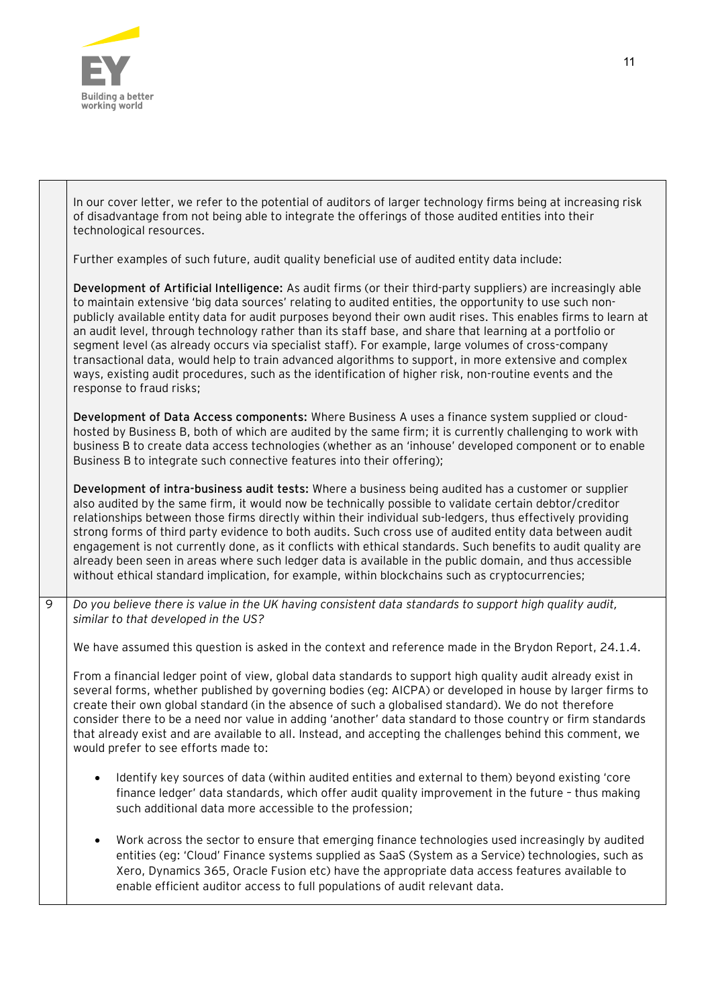

т

|   | In our cover letter, we refer to the potential of auditors of larger technology firms being at increasing risk<br>of disadvantage from not being able to integrate the offerings of those audited entities into their<br>technological resources.                                                                                                                                                                                                                                                                                                                                                                                                                                                                                                                                                            |
|---|--------------------------------------------------------------------------------------------------------------------------------------------------------------------------------------------------------------------------------------------------------------------------------------------------------------------------------------------------------------------------------------------------------------------------------------------------------------------------------------------------------------------------------------------------------------------------------------------------------------------------------------------------------------------------------------------------------------------------------------------------------------------------------------------------------------|
|   | Further examples of such future, audit quality beneficial use of audited entity data include:                                                                                                                                                                                                                                                                                                                                                                                                                                                                                                                                                                                                                                                                                                                |
|   | Development of Artificial Intelligence: As audit firms (or their third-party suppliers) are increasingly able<br>to maintain extensive 'big data sources' relating to audited entities, the opportunity to use such non-<br>publicly available entity data for audit purposes beyond their own audit rises. This enables firms to learn at<br>an audit level, through technology rather than its staff base, and share that learning at a portfolio or<br>segment level (as already occurs via specialist staff). For example, large volumes of cross-company<br>transactional data, would help to train advanced algorithms to support, in more extensive and complex<br>ways, existing audit procedures, such as the identification of higher risk, non-routine events and the<br>response to fraud risks; |
|   | Development of Data Access components: Where Business A uses a finance system supplied or cloud-<br>hosted by Business B, both of which are audited by the same firm; it is currently challenging to work with<br>business B to create data access technologies (whether as an 'inhouse' developed component or to enable<br>Business B to integrate such connective features into their offering);                                                                                                                                                                                                                                                                                                                                                                                                          |
|   | Development of intra-business audit tests: Where a business being audited has a customer or supplier<br>also audited by the same firm, it would now be technically possible to validate certain debtor/creditor<br>relationships between those firms directly within their individual sub-ledgers, thus effectively providing<br>strong forms of third party evidence to both audits. Such cross use of audited entity data between audit<br>engagement is not currently done, as it conflicts with ethical standards. Such benefits to audit quality are<br>already been seen in areas where such ledger data is available in the public domain, and thus accessible<br>without ethical standard implication, for example, within blockchains such as cryptocurrencies;                                     |
| 9 | Do you believe there is value in the UK having consistent data standards to support high quality audit,<br>similar to that developed in the US?                                                                                                                                                                                                                                                                                                                                                                                                                                                                                                                                                                                                                                                              |
|   | We have assumed this question is asked in the context and reference made in the Brydon Report, 24.1.4.                                                                                                                                                                                                                                                                                                                                                                                                                                                                                                                                                                                                                                                                                                       |
|   | From a financial ledger point of view, global data standards to support high quality audit already exist in<br>several forms, whether published by governing bodies (eg: AICPA) or developed in house by larger firms to<br>create their own global standard (in the absence of such a globalised standard). We do not therefore<br>consider there to be a need nor value in adding 'another' data standard to those country or firm standards<br>that already exist and are available to all. Instead, and accepting the challenges behind this comment, we<br>would prefer to see efforts made to:                                                                                                                                                                                                         |
|   | Identify key sources of data (within audited entities and external to them) beyond existing 'core<br>$\bullet$<br>finance ledger' data standards, which offer audit quality improvement in the future - thus making<br>such additional data more accessible to the profession;                                                                                                                                                                                                                                                                                                                                                                                                                                                                                                                               |
|   | Work across the sector to ensure that emerging finance technologies used increasingly by audited<br>٠<br>entities (eg: 'Cloud' Finance systems supplied as SaaS (System as a Service) technologies, such as<br>Xero, Dynamics 365, Oracle Fusion etc) have the appropriate data access features available to<br>enable efficient auditor access to full populations of audit relevant data.                                                                                                                                                                                                                                                                                                                                                                                                                  |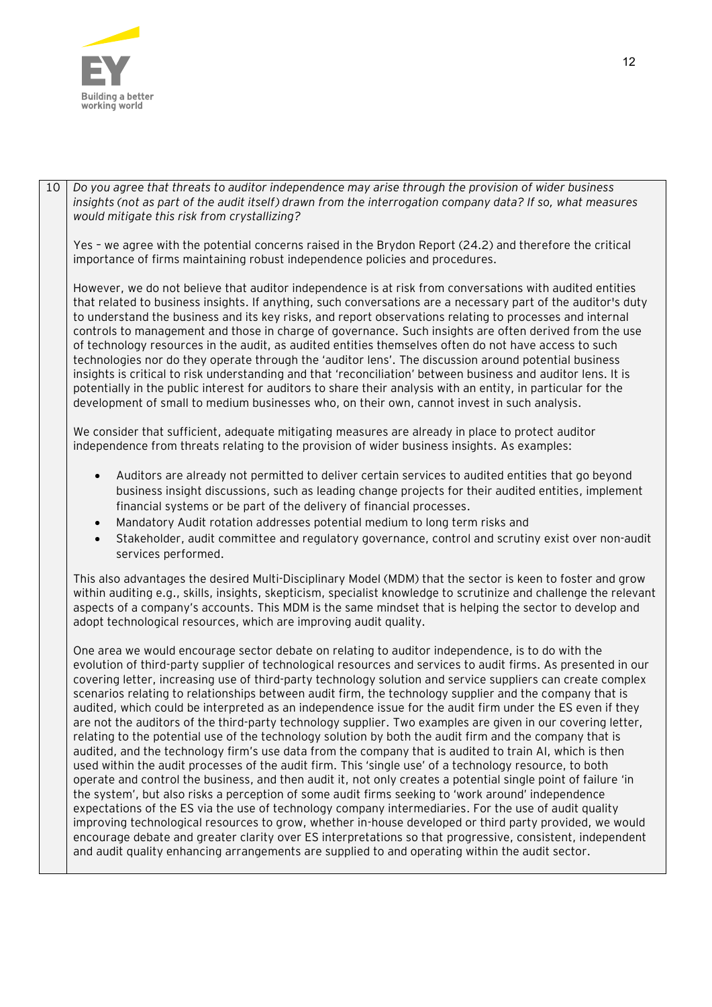

10 *Do you agree that threats to auditor independence may arise through the provision of wider business insights (not as part of the audit itself) drawn from the interrogation company data? If so, what measures would mitigate this risk from crystallizing?*

Yes – we agree with the potential concerns raised in the Brydon Report (24.2) and therefore the critical importance of firms maintaining robust independence policies and procedures.

However, we do not believe that auditor independence is at risk from conversations with audited entities that related to business insights. If anything, such conversations are a necessary part of the auditor's duty to understand the business and its key risks, and report observations relating to processes and internal controls to management and those in charge of governance. Such insights are often derived from the use of technology resources in the audit, as audited entities themselves often do not have access to such technologies nor do they operate through the 'auditor lens'. The discussion around potential business insights is critical to risk understanding and that 'reconciliation' between business and auditor lens. It is potentially in the public interest for auditors to share their analysis with an entity, in particular for the development of small to medium businesses who, on their own, cannot invest in such analysis.

We consider that sufficient, adequate mitigating measures are already in place to protect auditor independence from threats relating to the provision of wider business insights. As examples:

- Auditors are already not permitted to deliver certain services to audited entities that go beyond business insight discussions, such as leading change projects for their audited entities, implement financial systems or be part of the delivery of financial processes.
- Mandatory Audit rotation addresses potential medium to long term risks and
- Stakeholder, audit committee and regulatory governance, control and scrutiny exist over non-audit services performed.

This also advantages the desired Multi-Disciplinary Model (MDM) that the sector is keen to foster and grow within auditing e.g., skills, insights, skepticism, specialist knowledge to scrutinize and challenge the relevant aspects of a company's accounts. This MDM is the same mindset that is helping the sector to develop and adopt technological resources, which are improving audit quality.

One area we would encourage sector debate on relating to auditor independence, is to do with the evolution of third-party supplier of technological resources and services to audit firms. As presented in our covering letter, increasing use of third-party technology solution and service suppliers can create complex scenarios relating to relationships between audit firm, the technology supplier and the company that is audited, which could be interpreted as an independence issue for the audit firm under the ES even if they are not the auditors of the third-party technology supplier. Two examples are given in our covering letter, relating to the potential use of the technology solution by both the audit firm and the company that is audited, and the technology firm's use data from the company that is audited to train AI, which is then used within the audit processes of the audit firm. This 'single use' of a technology resource, to both operate and control the business, and then audit it, not only creates a potential single point of failure 'in the system', but also risks a perception of some audit firms seeking to 'work around' independence expectations of the ES via the use of technology company intermediaries. For the use of audit quality improving technological resources to grow, whether in-house developed or third party provided, we would encourage debate and greater clarity over ES interpretations so that progressive, consistent, independent and audit quality enhancing arrangements are supplied to and operating within the audit sector.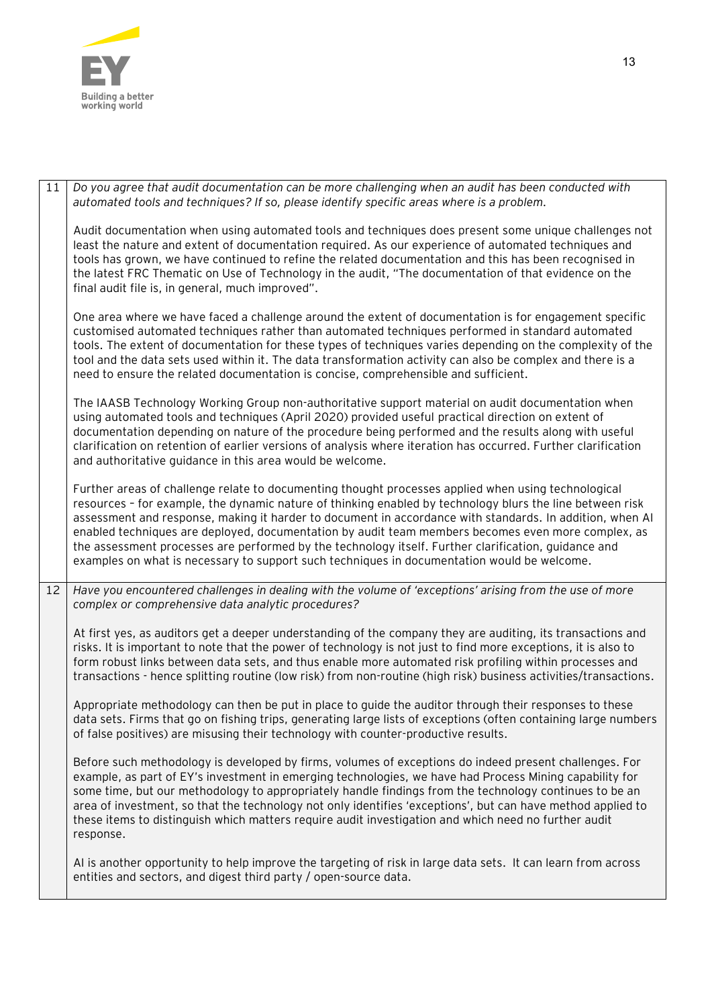

 $\sim$ 

| 11 | Do you agree that audit documentation can be more challenging when an audit has been conducted with<br>automated tools and techniques? If so, please identify specific areas where is a problem.                                                                                                                                                                                                                                                                                                                                                                                                                                          |
|----|-------------------------------------------------------------------------------------------------------------------------------------------------------------------------------------------------------------------------------------------------------------------------------------------------------------------------------------------------------------------------------------------------------------------------------------------------------------------------------------------------------------------------------------------------------------------------------------------------------------------------------------------|
|    | Audit documentation when using automated tools and techniques does present some unique challenges not<br>least the nature and extent of documentation required. As our experience of automated techniques and<br>tools has grown, we have continued to refine the related documentation and this has been recognised in<br>the latest FRC Thematic on Use of Technology in the audit, "The documentation of that evidence on the<br>final audit file is, in general, much improved".                                                                                                                                                      |
|    | One area where we have faced a challenge around the extent of documentation is for engagement specific<br>customised automated techniques rather than automated techniques performed in standard automated<br>tools. The extent of documentation for these types of techniques varies depending on the complexity of the<br>tool and the data sets used within it. The data transformation activity can also be complex and there is a<br>need to ensure the related documentation is concise, comprehensible and sufficient.                                                                                                             |
|    | The IAASB Technology Working Group non-authoritative support material on audit documentation when<br>using automated tools and techniques (April 2020) provided useful practical direction on extent of<br>documentation depending on nature of the procedure being performed and the results along with useful<br>clarification on retention of earlier versions of analysis where iteration has occurred. Further clarification<br>and authoritative guidance in this area would be welcome.                                                                                                                                            |
|    | Further areas of challenge relate to documenting thought processes applied when using technological<br>resources - for example, the dynamic nature of thinking enabled by technology blurs the line between risk<br>assessment and response, making it harder to document in accordance with standards. In addition, when AI<br>enabled techniques are deployed, documentation by audit team members becomes even more complex, as<br>the assessment processes are performed by the technology itself. Further clarification, guidance and<br>examples on what is necessary to support such techniques in documentation would be welcome. |
| 12 | Have you encountered challenges in dealing with the volume of 'exceptions' arising from the use of more<br>complex or comprehensive data analytic procedures?                                                                                                                                                                                                                                                                                                                                                                                                                                                                             |
|    | At first yes, as auditors get a deeper understanding of the company they are auditing, its transactions and<br>risks. It is important to note that the power of technology is not just to find more exceptions, it is also to<br>form robust links between data sets, and thus enable more automated risk profiling within processes and<br>transactions - hence splitting routine (low risk) from non-routine (high risk) business activities/transactions.                                                                                                                                                                              |
|    | Appropriate methodology can then be put in place to guide the auditor through their responses to these<br>data sets. Firms that go on fishing trips, generating large lists of exceptions (often containing large numbers<br>of false positives) are misusing their technology with counter-productive results.                                                                                                                                                                                                                                                                                                                           |
|    | Before such methodology is developed by firms, volumes of exceptions do indeed present challenges. For<br>example, as part of EY's investment in emerging technologies, we have had Process Mining capability for<br>some time, but our methodology to appropriately handle findings from the technology continues to be an<br>area of investment, so that the technology not only identifies 'exceptions', but can have method applied to<br>these items to distinguish which matters require audit investigation and which need no further audit<br>response.                                                                           |
|    | AI is another opportunity to help improve the targeting of risk in large data sets. It can learn from across<br>entities and sectors, and digest third party / open-source data.                                                                                                                                                                                                                                                                                                                                                                                                                                                          |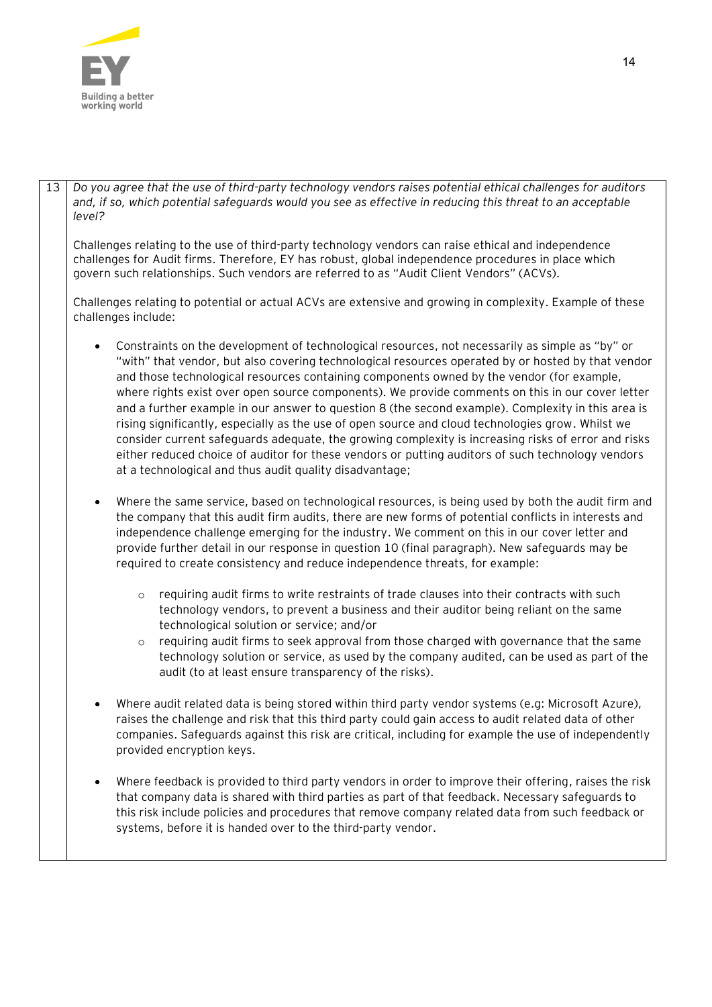

13 *Do you agree that the use of third-party technology vendors raises potential ethical challenges for auditors and, if so, which potential safeguards would you see as effective in reducing this threat to an acceptable level?*

Challenges relating to the use of third-party technology vendors can raise ethical and independence challenges for Audit firms. Therefore, EY has robust, global independence procedures in place which govern such relationships. Such vendors are referred to as "Audit Client Vendors" (ACVs).

Challenges relating to potential or actual ACVs are extensive and growing in complexity. Example of these challenges include:

- Constraints on the development of technological resources, not necessarily as simple as "by" or "with" that vendor, but also covering technological resources operated by or hosted by that vendor and those technological resources containing components owned by the vendor (for example, where rights exist over open source components). We provide comments on this in our cover letter and a further example in our answer to question 8 (the second example). Complexity in this area is rising significantly, especially as the use of open source and cloud technologies grow. Whilst we consider current safeguards adequate, the growing complexity is increasing risks of error and risks either reduced choice of auditor for these vendors or putting auditors of such technology vendors at a technological and thus audit quality disadvantage;
- Where the same service, based on technological resources, is being used by both the audit firm and the company that this audit firm audits, there are new forms of potential conflicts in interests and independence challenge emerging for the industry. We comment on this in our cover letter and provide further detail in our response in question 10 (final paragraph). New safeguards may be required to create consistency and reduce independence threats, for example:
	- $\circ$  requiring audit firms to write restraints of trade clauses into their contracts with such technology vendors, to prevent a business and their auditor being reliant on the same technological solution or service; and/or
	- $\circ$  requiring audit firms to seek approval from those charged with governance that the same technology solution or service, as used by the company audited, can be used as part of the audit (to at least ensure transparency of the risks).
- Where audit related data is being stored within third party vendor systems (e.g: Microsoft Azure), raises the challenge and risk that this third party could gain access to audit related data of other companies. Safeguards against this risk are critical, including for example the use of independently provided encryption keys.
- Where feedback is provided to third party vendors in order to improve their offering, raises the risk that company data is shared with third parties as part of that feedback. Necessary safeguards to this risk include policies and procedures that remove company related data from such feedback or systems, before it is handed over to the third-party vendor.